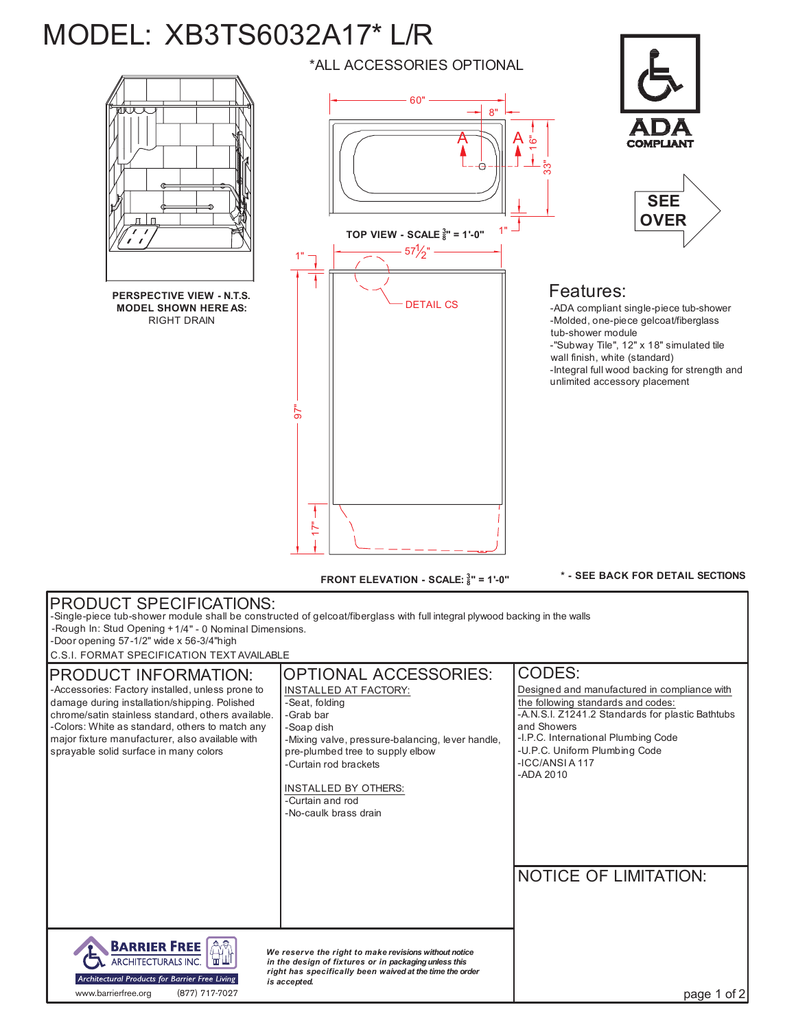## MODEL: XB3TS6032A17\* L/R



**FRONT ELEVATION - SCALE: <sup>3</sup> 8" = 1'-0"**

**\* - SEE BACK FOR DETAIL SECTIONS**

| <b>PRODUCT SPECIFICATIONS:</b><br>-Single-piece tub-shower module shall be constructed of gelcoat/fiberglass with full integral plywood backing in the walls<br>-Rough In: Stud Opening +1/4" - 0 Nominal Dimensions.<br>-Door opening 57-1/2" wide x 56-3/4"high<br>C.S.I. FORMAT SPECIFICATION TEXT AVAILABLE                            |                                                                                                                                                                                                                                                                                                 |                                                                                                                                                                                                                                                                                                       |
|--------------------------------------------------------------------------------------------------------------------------------------------------------------------------------------------------------------------------------------------------------------------------------------------------------------------------------------------|-------------------------------------------------------------------------------------------------------------------------------------------------------------------------------------------------------------------------------------------------------------------------------------------------|-------------------------------------------------------------------------------------------------------------------------------------------------------------------------------------------------------------------------------------------------------------------------------------------------------|
| <b>PRODUCT INFORMATION:</b><br>-Accessories: Factory installed, unless prone to<br>damage during installation/shipping. Polished<br>chrome/satin stainless standard, others available.<br>-Colors: White as standard, others to match any<br>major fixture manufacturer, also available with<br>sprayable solid surface in many colors     | <b>OPTIONAL ACCESSORIES:</b><br>INSTALLED AT FACTORY:<br>-Seat, folding<br>-Grab bar<br>-Soap dish<br>-Mixing valve, pressure-balancing, lever handle,<br>pre-plumbed tree to supply elbow<br>-Curtain rod brackets<br><b>INSTALLED BY OTHERS:</b><br>-Curtain and rod<br>-No-caulk brass drain | CODES:<br>Designed and manufactured in compliance with<br>the following standards and codes:<br>-A.N.S.I. Z1241.2 Standards for plastic Bathtubs<br>and Showers<br>-I.P.C. International Plumbing Code<br>-U.P.C. Uniform Plumbing Code<br>-ICC/ANSIA117<br>-ADA 2010<br><b>NOTICE OF LIMITATION:</b> |
| <b>BARRIER FREE</b><br>We reserve the right to make revisions without notice<br><b>ARCHITECTURALS INC.</b><br>in the design of fixtures or in packaging unless this<br>right has specifically been waived at the time the order<br>Architectural Products for Barrier Free Living<br>is accepted.<br>www.barrierfree.org<br>(877) 717-7027 |                                                                                                                                                                                                                                                                                                 | page 1 of 2                                                                                                                                                                                                                                                                                           |